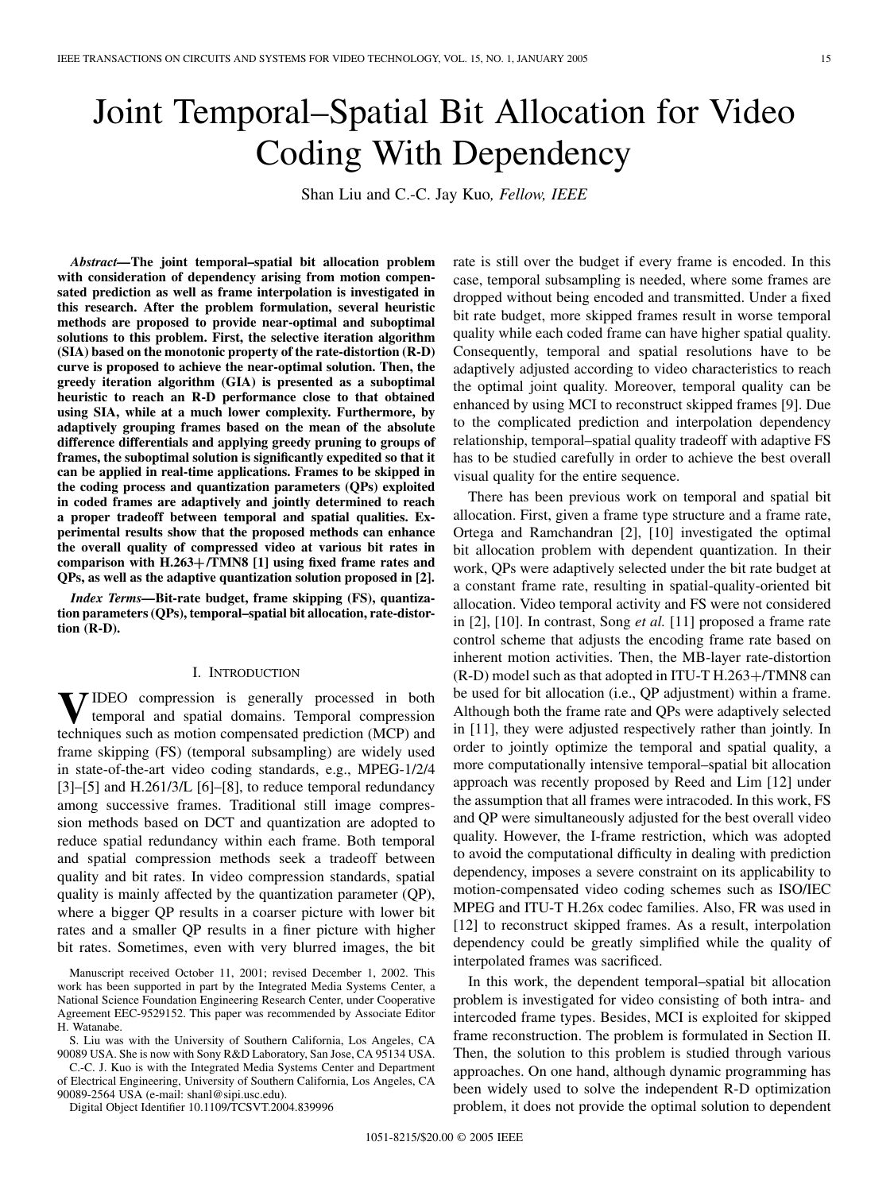# Joint Temporal–Spatial Bit Allocation for Video Coding With Dependency

Shan Liu and C.-C. Jay Kuo*, Fellow, IEEE*

*Abstract—***The joint temporal–spatial bit allocation problem with consideration of dependency arising from motion compensated prediction as well as frame interpolation is investigated in this research. After the problem formulation, several heuristic methods are proposed to provide near-optimal and suboptimal solutions to this problem. First, the selective iteration algorithm (SIA) based on the monotonic property of the rate-distortion (R-D) curve is proposed to achieve the near-optimal solution. Then, the greedy iteration algorithm (GIA) is presented as a suboptimal heuristic to reach an R-D performance close to that obtained using SIA, while at a much lower complexity. Furthermore, by adaptively grouping frames based on the mean of the absolute difference differentials and applying greedy pruning to groups of frames, the suboptimal solution is significantly expedited so that it can be applied in real-time applications. Frames to be skipped in the coding process and quantization parameters (QPs) exploited in coded frames are adaptively and jointly determined to reach a proper tradeoff between temporal and spatial qualities. Experimental results show that the proposed methods can enhance the overall quality of compressed video at various bit rates in comparison with H.263**+**/TMN8 [\[1\]](#page-11-0) using fixed frame rates and QPs, as well as the adaptive quantization solution proposed in [\[2\]](#page-11-0).**

*Index Terms—***Bit-rate budget, frame skipping (FS), quantization parameters (QPs), temporal–spatial bit allocation, rate-distortion (R-D).**

## I. INTRODUCTION

**V**IDEO compression is generally processed in both temporal and spatial domains. Temporal compression techniques such as motion compensated prediction (MCP) and frame skipping (FS) (temporal subsampling) are widely used in state-of-the-art video coding standards, e.g., MPEG-1/2/4  $[3]$  $[3]$ –[\[5\]](#page-11-0) and H.261/3/L  $[6]$  $[6]$ – $[8]$  $[8]$ , to reduce temporal redundancy among successive frames. Traditional still image compression methods based on DCT and quantization are adopted to reduce spatial redundancy within each frame. Both temporal and spatial compression methods seek a tradeoff between quality and bit rates. In video compression standards, spatial quality is mainly affected by the quantization parameter (QP), where a bigger QP results in a coarser picture with lower bit rates and a smaller QP results in a finer picture with higher bit rates. Sometimes, even with very blurred images, the bit

S. Liu was with the University of Southern California, Los Angeles, CA 90089 USA. She is now with Sony R&D Laboratory, San Jose, CA 95134 USA.

C.-C. J. Kuo is with the Integrated Media Systems Center and Department of Electrical Engineering, University of Southern California, Los Angeles, CA 90089-2564 USA (e-mail: shanl@sipi.usc.edu).

Digital Object Identifier 10.1109/TCSVT.2004.839996

rate is still over the budget if every frame is encoded. In this case, temporal subsampling is needed, where some frames are dropped without being encoded and transmitted. Under a fixed bit rate budget, more skipped frames result in worse temporal quality while each coded frame can have higher spatial quality. Consequently, temporal and spatial resolutions have to be adaptively adjusted according to video characteristics to reach the optimal joint quality. Moreover, temporal quality can be enhanced by using MCI to reconstruct skipped frames [\[9](#page-11-0)]. Due to the complicated prediction and interpolation dependency relationship, temporal–spatial quality tradeoff with adaptive FS has to be studied carefully in order to achieve the best overall visual quality for the entire sequence.

There has been previous work on temporal and spatial bit allocation. First, given a frame type structure and a frame rate, Ortega and Ramchandran [\[2](#page-11-0)], [\[10](#page-11-0)] investigated the optimal bit allocation problem with dependent quantization. In their work, QPs were adaptively selected under the bit rate budget at a constant frame rate, resulting in spatial-quality-oriented bit allocation. Video temporal activity and FS were not considered in [\[2\]](#page-11-0), [[10\]](#page-11-0). In contrast, Song *et al.* [\[11](#page-11-0)] proposed a frame rate control scheme that adjusts the encoding frame rate based on inherent motion activities. Then, the MB-layer rate-distortion  $(R-D)$  model such as that adopted in ITU-T H.263+/TMN8 can be used for bit allocation (i.e., QP adjustment) within a frame. Although both the frame rate and QPs were adaptively selected in [[11\]](#page-11-0), they were adjusted respectively rather than jointly. In order to jointly optimize the temporal and spatial quality, a more computationally intensive temporal–spatial bit allocation approach was recently proposed by Reed and Lim [[12\]](#page-11-0) under the assumption that all frames were intracoded. In this work, FS and QP were simultaneously adjusted for the best overall video quality. However, the I-frame restriction, which was adopted to avoid the computational difficulty in dealing with prediction dependency, imposes a severe constraint on its applicability to motion-compensated video coding schemes such as ISO/IEC MPEG and ITU-T H.26x codec families. Also, FR was used in [\[12](#page-11-0)] to reconstruct skipped frames. As a result, interpolation dependency could be greatly simplified while the quality of interpolated frames was sacrificed.

In this work, the dependent temporal–spatial bit allocation problem is investigated for video consisting of both intra- and intercoded frame types. Besides, MCI is exploited for skipped frame reconstruction. The problem is formulated in Section II. Then, the solution to this problem is studied through various approaches. On one hand, although dynamic programming has been widely used to solve the independent R-D optimization problem, it does not provide the optimal solution to dependent

Manuscript received October 11, 2001; revised December 1, 2002. This work has been supported in part by the Integrated Media Systems Center, a National Science Foundation Engineering Research Center, under Cooperative Agreement EEC-9529152. This paper was recommended by Associate Editor H. Watanabe.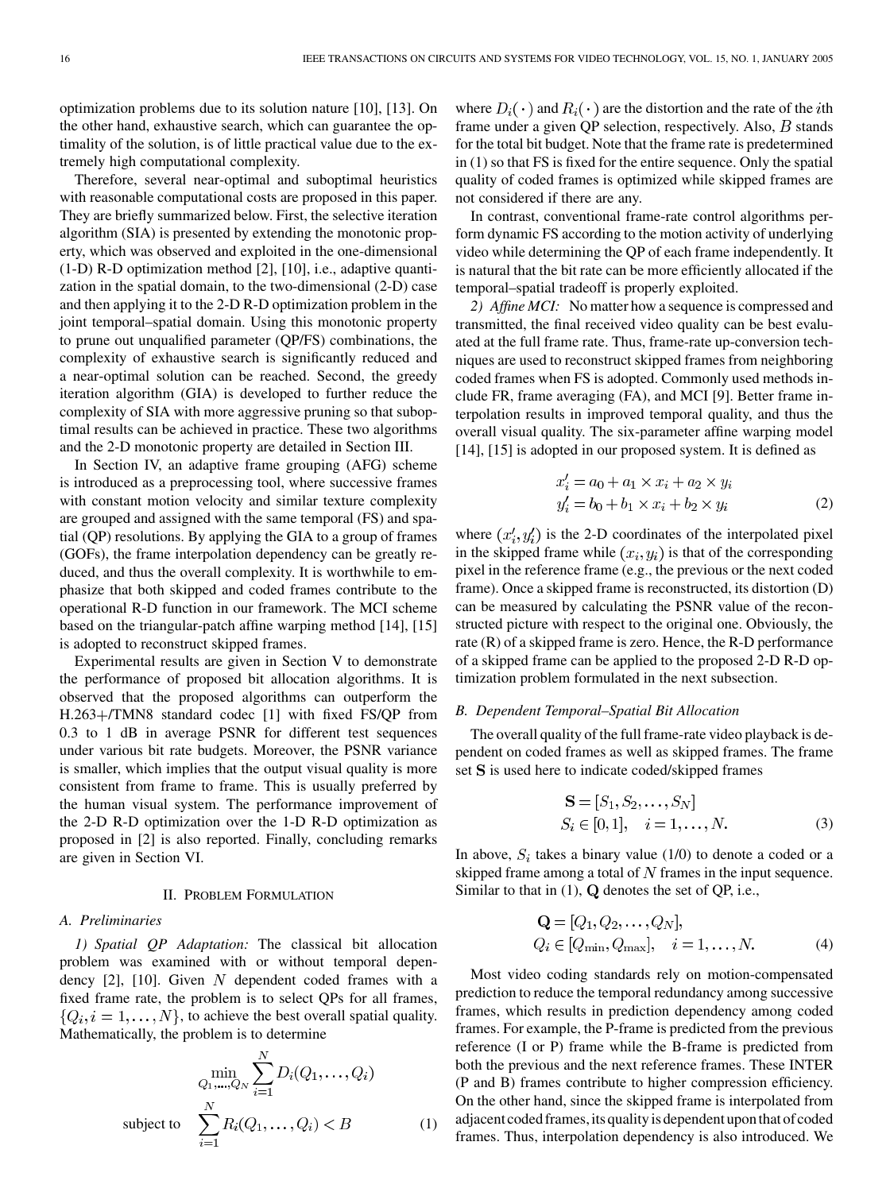optimization problems due to its solution nature [\[10](#page-11-0)], [[13\]](#page-11-0). On the other hand, exhaustive search, which can guarantee the optimality of the solution, is of little practical value due to the extremely high computational complexity.

Therefore, several near-optimal and suboptimal heuristics with reasonable computational costs are proposed in this paper. They are briefly summarized below. First, the selective iteration algorithm (SIA) is presented by extending the monotonic property, which was observed and exploited in the one-dimensional (1-D) R-D optimization method [[2\]](#page-11-0), [\[10](#page-11-0)], i.e., adaptive quantization in the spatial domain, to the two-dimensional (2-D) case and then applying it to the 2-D R-D optimization problem in the joint temporal–spatial domain. Using this monotonic property to prune out unqualified parameter (QP/FS) combinations, the complexity of exhaustive search is significantly reduced and a near-optimal solution can be reached. Second, the greedy iteration algorithm (GIA) is developed to further reduce the complexity of SIA with more aggressive pruning so that suboptimal results can be achieved in practice. These two algorithms and the 2-D monotonic property are detailed in Section III.

In Section IV, an adaptive frame grouping (AFG) scheme is introduced as a preprocessing tool, where successive frames with constant motion velocity and similar texture complexity are grouped and assigned with the same temporal (FS) and spatial (QP) resolutions. By applying the GIA to a group of frames (GOFs), the frame interpolation dependency can be greatly reduced, and thus the overall complexity. It is worthwhile to emphasize that both skipped and coded frames contribute to the operational R-D function in our framework. The MCI scheme based on the triangular-patch affine warping method [[14\]](#page-11-0), [\[15](#page-11-0)] is adopted to reconstruct skipped frames.

Experimental results are given in Section V to demonstrate the performance of proposed bit allocation algorithms. It is observed that the proposed algorithms can outperform the H.263+/TMN8 standard codec [[1\]](#page-11-0) with fixed FS/QP from 0.3 to 1 dB in average PSNR for different test sequences under various bit rate budgets. Moreover, the PSNR variance is smaller, which implies that the output visual quality is more consistent from frame to frame. This is usually preferred by the human visual system. The performance improvement of the 2-D R-D optimization over the 1-D R-D optimization as proposed in [[2\]](#page-11-0) is also reported. Finally, concluding remarks are given in Section VI.

## II. PROBLEM FORMULATION

## *A. Preliminaries*

*1) Spatial QP Adaptation:* The classical bit allocation problem was examined with or without temporal depen-dency [[2\]](#page-11-0), [\[10](#page-11-0)]. Given N dependent coded frames with a fixed frame rate, the problem is to select QPs for all frames,  $\{Q_i, i = 1, \ldots, N\}$ , to achieve the best overall spatial quality. Mathematically, the problem is to determine

$$
\min_{Q_1,\dots,Q_N} \sum_{i=1}^N D_i(Q_1,\dots,Q_i)
$$
\nsubject to 
$$
\sum_{i=1}^N R_i(Q_1,\dots,Q_i) < B \tag{1}
$$

where  $D_i(\cdot)$  and  $R_i(\cdot)$  are the distortion and the rate of the *i*th frame under a given QP selection, respectively. Also,  $B$  stands for the total bit budget. Note that the frame rate is predetermined in (1) so that FS is fixed for the entire sequence. Only the spatial quality of coded frames is optimized while skipped frames are not considered if there are any.

In contrast, conventional frame-rate control algorithms perform dynamic FS according to the motion activity of underlying video while determining the QP of each frame independently. It is natural that the bit rate can be more efficiently allocated if the temporal–spatial tradeoff is properly exploited.

*2) Affine MCI:* No matter how a sequence is compressed and transmitted, the final received video quality can be best evaluated at the full frame rate. Thus, frame-rate up-conversion techniques are used to reconstruct skipped frames from neighboring coded frames when FS is adopted. Commonly used methods include FR, frame averaging (FA), and MCI [[9\]](#page-11-0). Better frame interpolation results in improved temporal quality, and thus the overall visual quality. The six-parameter affine warping model [[14\]](#page-11-0), [[15\]](#page-11-0) is adopted in our proposed system. It is defined as

$$
x'_i = a_0 + a_1 \times x_i + a_2 \times y_i
$$
  
\n
$$
y'_i = b_0 + b_1 \times x_i + b_2 \times y_i
$$
 (2)

where  $(x'_i, y'_i)$  is the 2-D coordinates of the interpolated pixel in the skipped frame while  $(x_i, y_i)$  is that of the corresponding pixel in the reference frame (e.g., the previous or the next coded frame). Once a skipped frame is reconstructed, its distortion (D) can be measured by calculating the PSNR value of the reconstructed picture with respect to the original one. Obviously, the rate (R) of a skipped frame is zero. Hence, the R-D performance of a skipped frame can be applied to the proposed 2-D R-D optimization problem formulated in the next subsection.

## *B. Dependent Temporal–Spatial Bit Allocation*

The overall quality of the full frame-rate video playback is dependent on coded frames as well as skipped frames. The frame set S is used here to indicate coded/skipped frames

$$
\mathbf{S} = [S_1, S_2, \dots, S_N] \nS_i \in [0, 1], \quad i = 1, \dots, N.
$$
\n(3)

In above,  $S_i$  takes a binary value (1/0) to denote a coded or a skipped frame among a total of  $N$  frames in the input sequence. Similar to that in  $(1)$ , Q denotes the set of QP, i.e.,

$$
\mathbf{Q} = [Q_1, Q_2, \dots, Q_N], Q_i \in [Q_{\text{min}}, Q_{\text{max}}], \quad i = 1, \dots, N.
$$
 (4)

Most video coding standards rely on motion-compensated prediction to reduce the temporal redundancy among successive frames, which results in prediction dependency among coded frames. For example, the P-frame is predicted from the previous reference (I or P) frame while the B-frame is predicted from both the previous and the next reference frames. These INTER (P and B) frames contribute to higher compression efficiency. On the other hand, since the skipped frame is interpolated from adjacent coded frames, its quality is dependent upon that of coded frames. Thus, interpolation dependency is also introduced. We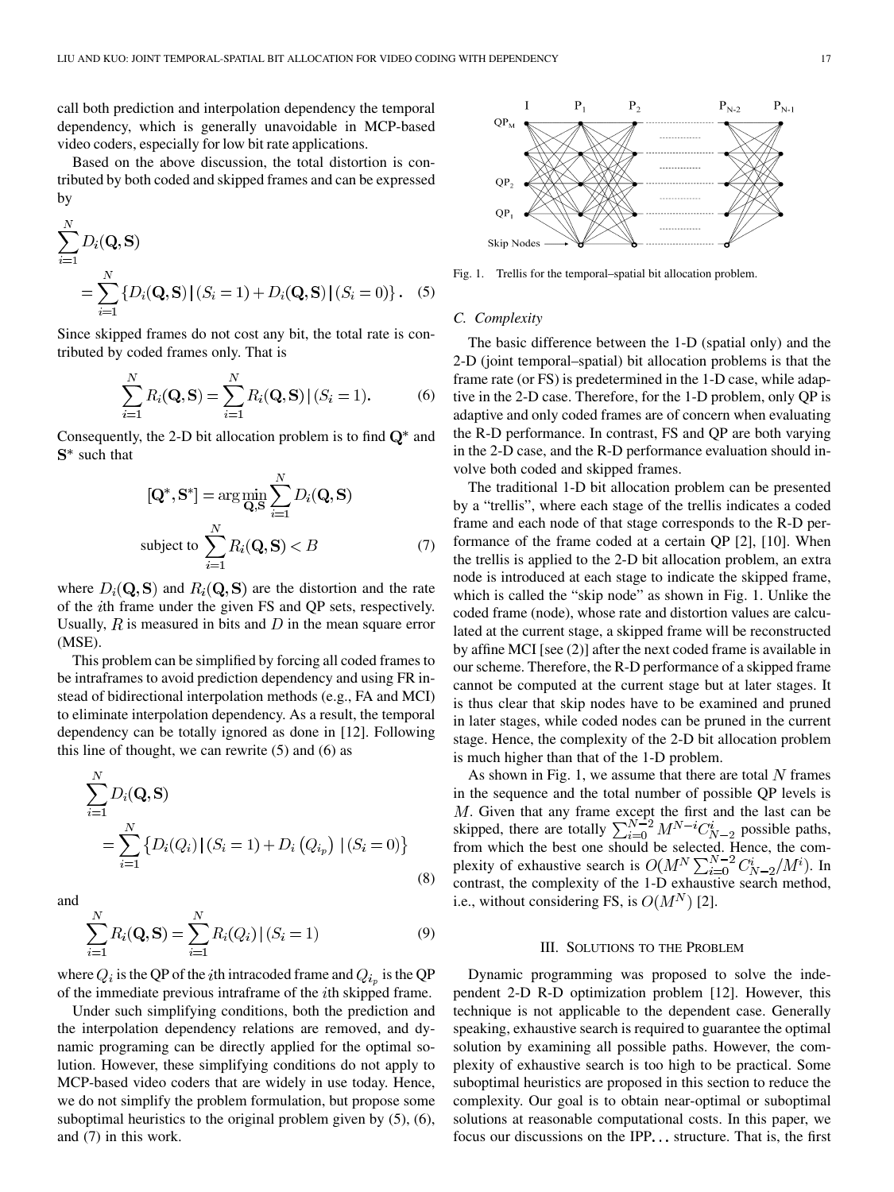call both prediction and interpolation dependency the temporal dependency, which is generally unavoidable in MCP-based video coders, especially for low bit rate applications.

Based on the above discussion, the total distortion is contributed by both coded and skipped frames and can be expressed by

$$
\sum_{i=1}^{N} D_i(\mathbf{Q}, \mathbf{S})
$$
  
= 
$$
\sum_{i=1}^{N} \{D_i(\mathbf{Q}, \mathbf{S}) | (S_i = 1) + D_i(\mathbf{Q}, \mathbf{S}) | (S_i = 0) \}.
$$
 (5)

Since skipped frames do not cost any bit, the total rate is contributed by coded frames only. That is

$$
\sum_{i=1}^{N} R_i(\mathbf{Q}, \mathbf{S}) = \sum_{i=1}^{N} R_i(\mathbf{Q}, \mathbf{S}) | (S_i = 1).
$$
 (6)

Consequently, the 2-D bit allocation problem is to find  $Q^*$  and  $S^*$  such that

$$
[\mathbf{Q}^*, \mathbf{S}^*] = \arg\min_{\mathbf{Q}, \mathbf{S}} \sum_{i=1}^N D_i(\mathbf{Q}, \mathbf{S})
$$
  
subject to 
$$
\sum_{i=1}^N R_i(\mathbf{Q}, \mathbf{S}) < B \tag{7}
$$

where  $D_i(\mathbf{Q}, \mathbf{S})$  and  $R_i(\mathbf{Q}, \mathbf{S})$  are the distortion and the rate of the *i*th frame under the given FS and QP sets, respectively. Usually,  $R$  is measured in bits and  $D$  in the mean square error (MSE).

This problem can be simplified by forcing all coded frames to be intraframes to avoid prediction dependency and using FR instead of bidirectional interpolation methods (e.g., FA and MCI) to eliminate interpolation dependency. As a result, the temporal dependency can be totally ignored as done in [[12\]](#page-11-0). Following this line of thought, we can rewrite  $(5)$  and  $(6)$  as

$$
\sum_{i=1}^{N} D_i(\mathbf{Q}, \mathbf{S})
$$
  
= 
$$
\sum_{i=1}^{N} \{ D_i(Q_i) | (S_i = 1) + D_i(Q_{i_p}) | (S_i = 0) \}
$$
 (8)

and

$$
\sum_{i=1}^{N} R_i(\mathbf{Q}, \mathbf{S}) = \sum_{i=1}^{N} R_i(Q_i) | (S_i = 1)
$$
\n(9)

where  $Q_i$  is the QP of the *i*th intracoded frame and  $Q_{i_p}$  is the QP of the immediate previous intraframe of the  $i$ th skipped frame.

Under such simplifying conditions, both the prediction and the interpolation dependency relations are removed, and dynamic programing can be directly applied for the optimal solution. However, these simplifying conditions do not apply to MCP-based video coders that are widely in use today. Hence, we do not simplify the problem formulation, but propose some suboptimal heuristics to the original problem given by (5), (6), and (7) in this work.



Fig. 1. Trellis for the temporal–spatial bit allocation problem.

#### *C. Complexity*

The basic difference between the 1-D (spatial only) and the 2-D (joint temporal–spatial) bit allocation problems is that the frame rate (or FS) is predetermined in the 1-D case, while adaptive in the 2-D case. Therefore, for the 1-D problem, only QP is adaptive and only coded frames are of concern when evaluating the R-D performance. In contrast, FS and QP are both varying in the 2-D case, and the R-D performance evaluation should involve both coded and skipped frames.

The traditional 1-D bit allocation problem can be presented by a "trellis", where each stage of the trellis indicates a coded frame and each node of that stage corresponds to the R-D performance of the frame coded at a certain QP [[2\]](#page-11-0), [\[10](#page-11-0)]. When the trellis is applied to the 2-D bit allocation problem, an extra node is introduced at each stage to indicate the skipped frame, which is called the "skip node" as shown in Fig. 1. Unlike the coded frame (node), whose rate and distortion values are calculated at the current stage, a skipped frame will be reconstructed by affine MCI [see (2)] after the next coded frame is available in our scheme. Therefore, the R-D performance of a skipped frame cannot be computed at the current stage but at later stages. It is thus clear that skip nodes have to be examined and pruned in later stages, while coded nodes can be pruned in the current stage. Hence, the complexity of the 2-D bit allocation problem is much higher than that of the 1-D problem.

As shown in Fig. 1, we assume that there are total  $N$  frames in the sequence and the total number of possible QP levels is . Given that any frame except the first and the last can be skipped, there are totally  $\sum_{i=0}^{N-2} M^{N-i} C_{N-2}^{i}$  possible paths, from which the best one should be selected. Hence, the complexity of exhaustive search is  $O(M^N \sum_{i=0}^{N-2} C_{N-2}^i / M^i)$ . In contrast, the complexity of the 1-D exhaustive search method, i.e., without considering FS, is  $O(M^N)$  [\[2](#page-11-0)].

#### III. SOLUTIONS TO THE PROBLEM

Dynamic programming was proposed to solve the independent 2-D R-D optimization problem [[12\]](#page-11-0). However, this technique is not applicable to the dependent case. Generally speaking, exhaustive search is required to guarantee the optimal solution by examining all possible paths. However, the complexity of exhaustive search is too high to be practical. Some suboptimal heuristics are proposed in this section to reduce the complexity. Our goal is to obtain near-optimal or suboptimal solutions at reasonable computational costs. In this paper, we focus our discussions on the IPP... structure. That is, the first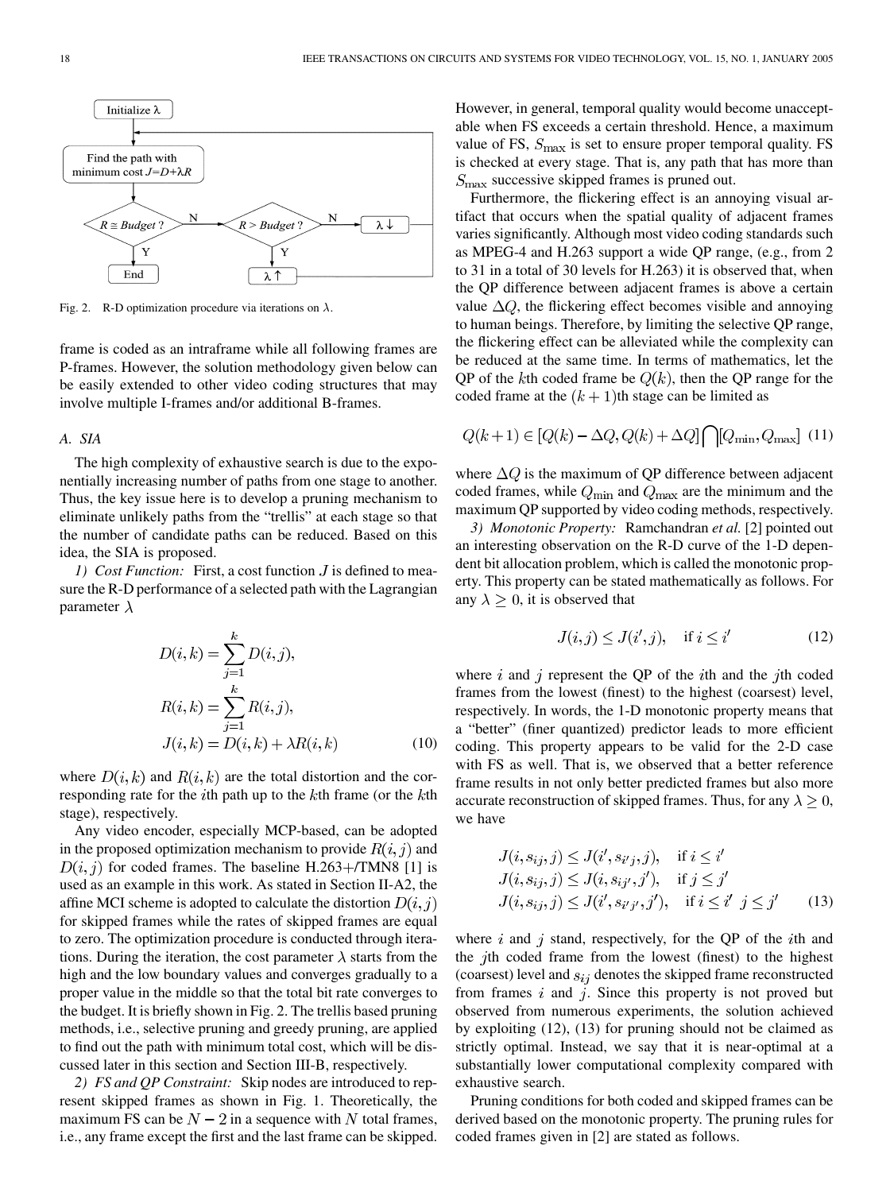

Fig. 2. R-D optimization procedure via iterations on  $\lambda$ .

frame is coded as an intraframe while all following frames are P-frames. However, the solution methodology given below can be easily extended to other video coding structures that may involve multiple I-frames and/or additional B-frames.

## *A. SIA*

The high complexity of exhaustive search is due to the exponentially increasing number of paths from one stage to another. Thus, the key issue here is to develop a pruning mechanism to eliminate unlikely paths from the "trellis" at each stage so that the number of candidate paths can be reduced. Based on this idea, the SIA is proposed.

*1)* Cost Function: First, a cost function  $J$  is defined to measure the R-D performance of a selected path with the Lagrangian parameter  $\lambda$ 

$$
D(i,k) = \sum_{j=1}^{k} D(i,j),
$$
  
\n
$$
R(i,k) = \sum_{j=1}^{k} R(i,j),
$$
  
\n
$$
J(i,k) = D(i,k) + \lambda R(i,k)
$$
 (10)

where  $D(i,k)$  and  $R(i,k)$  are the total distortion and the corresponding rate for the  $i$ th path up to the  $k$ th frame (or the  $k$ th stage), respectively.

Any video encoder, especially MCP-based, can be adopted in the proposed optimization mechanism to provide  $R(i, j)$  and  $D(i, j)$  for coded frames. The baseline H.263+/TMN8 [\[1](#page-11-0)] is used as an example in this work. As stated in Section II-A2, the affine MCI scheme is adopted to calculate the distortion  $D(i, j)$ for skipped frames while the rates of skipped frames are equal to zero. The optimization procedure is conducted through iterations. During the iteration, the cost parameter  $\lambda$  starts from the high and the low boundary values and converges gradually to a proper value in the middle so that the total bit rate converges to the budget. It is briefly shown in Fig. 2. The trellis based pruning methods, i.e., selective pruning and greedy pruning, are applied to find out the path with minimum total cost, which will be discussed later in this section and Section III-B, respectively.

*2) FS and QP Constraint:* Skip nodes are introduced to represent skipped frames as shown in Fig. 1. Theoretically, the maximum FS can be  $N-2$  in a sequence with N total frames, i.e., any frame except the first and the last frame can be skipped. However, in general, temporal quality would become unacceptable when FS exceeds a certain threshold. Hence, a maximum value of FS,  $S_{\text{max}}$  is set to ensure proper temporal quality. FS is checked at every stage. That is, any path that has more than  $S_{\text{max}}$  successive skipped frames is pruned out.

Furthermore, the flickering effect is an annoying visual artifact that occurs when the spatial quality of adjacent frames varies significantly. Although most video coding standards such as MPEG-4 and H.263 support a wide QP range, (e.g., from 2 to 31 in a total of 30 levels for H.263) it is observed that, when the QP difference between adjacent frames is above a certain value  $\Delta Q$ , the flickering effect becomes visible and annoying to human beings. Therefore, by limiting the selective QP range, the flickering effect can be alleviated while the complexity can be reduced at the same time. In terms of mathematics, let the QP of the kth coded frame be  $Q(k)$ , then the QP range for the coded frame at the  $(k + 1)$ th stage can be limited as

$$
Q(k+1) \in [Q(k) - \Delta Q, Q(k) + \Delta Q] \bigcap [Q_{\min}, Q_{\max}] \tag{11}
$$

where  $\Delta Q$  is the maximum of QP difference between adjacent coded frames, while  $Q_{\text{min}}$  and  $Q_{\text{max}}$  are the minimum and the maximum QP supported by video coding methods, respectively.

*3) Monotonic Property:* Ramchandran *et al.* [\[2](#page-11-0)] pointed out an interesting observation on the R-D curve of the 1-D dependent bit allocation problem, which is called the monotonic property. This property can be stated mathematically as follows. For any  $\lambda \geq 0$ , it is observed that

$$
J(i,j) \le J(i',j), \quad \text{if } i \le i' \tag{12}
$$

where  $i$  and  $j$  represent the QP of the  $i$ th and the  $j$ th coded frames from the lowest (finest) to the highest (coarsest) level, respectively. In words, the 1-D monotonic property means that a "better" (finer quantized) predictor leads to more efficient coding. This property appears to be valid for the 2-D case with FS as well. That is, we observed that a better reference frame results in not only better predicted frames but also more accurate reconstruction of skipped frames. Thus, for any  $\lambda \geq 0$ , we have

$$
J(i, s_{ij}, j) \le J(i', s_{ij}, j), \quad \text{if } i \le i'
$$
  
\n
$$
J(i, s_{ij}, j) \le J(i, s_{ij'}, j'), \quad \text{if } j \le j'
$$
  
\n
$$
J(i, s_{ij}, j) \le J(i', s_{i'j'}, j'), \quad \text{if } i \le i' \quad j \le j' \tag{13}
$$

where  $i$  and  $j$  stand, respectively, for the QP of the  $i$ th and the j<sup>th</sup> coded frame from the lowest (finest) to the highest (coarsest) level and  $s_{ij}$  denotes the skipped frame reconstructed from frames  $i$  and  $j$ . Since this property is not proved but observed from numerous experiments, the solution achieved by exploiting (12), (13) for pruning should not be claimed as strictly optimal. Instead, we say that it is near-optimal at a substantially lower computational complexity compared with exhaustive search.

Pruning conditions for both coded and skipped frames can be derived based on the monotonic property. The pruning rules for coded frames given in [[2\]](#page-11-0) are stated as follows.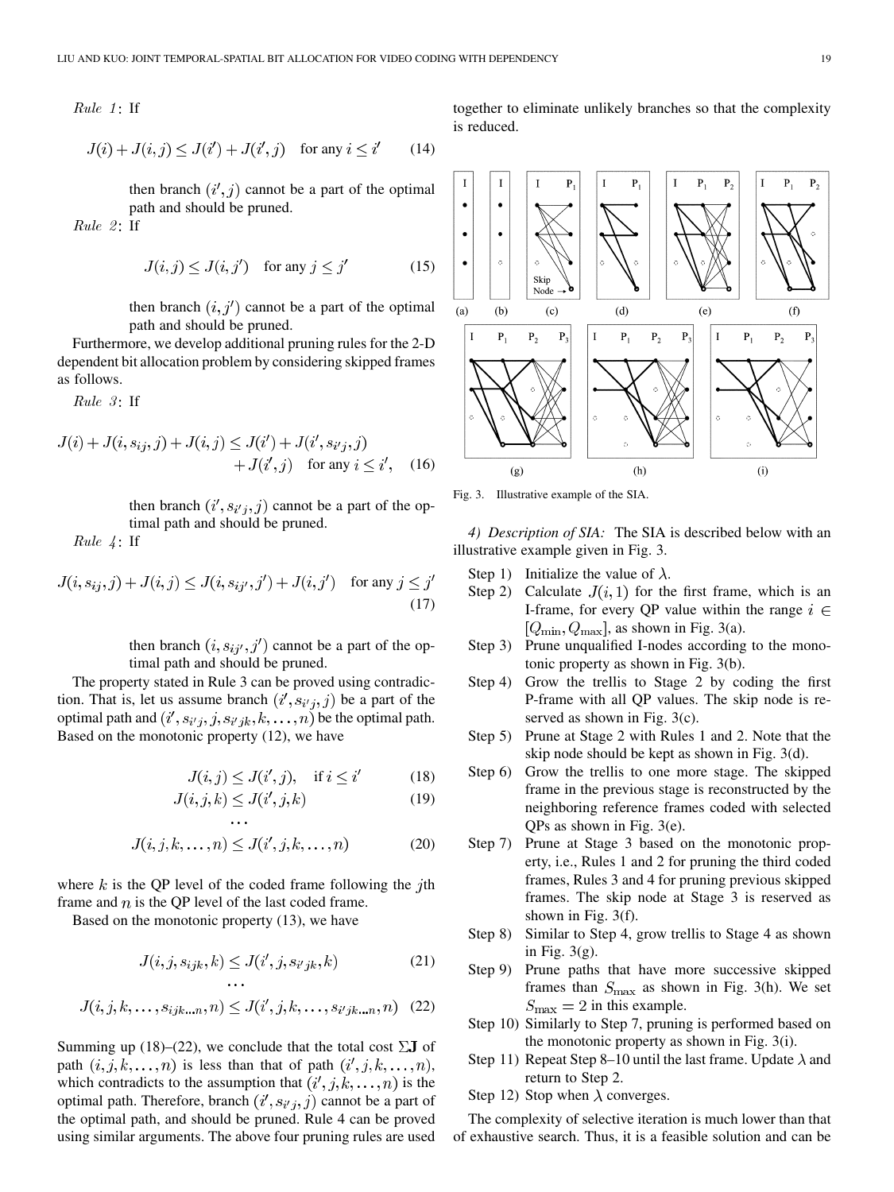*Rule* 
$$
1
$$
: If

$$
J(i) + J(i, j) \le J(i') + J(i', j)
$$
 for any  $i \le i'$  (14)

then branch  $(i', j)$  cannot be a part of the optimal path and should be pruned.  $Rule 2: If$ 

$$
J(i,j) \le J(i,j') \quad \text{for any } j \le j' \tag{15}
$$

then branch  $(i, j')$  cannot be a part of the optimal path and should be pruned.

Furthermore, we develop additional pruning rules for the 2-D dependent bit allocation problem by considering skipped frames as follows.

*Rule 3*: If

$$
J(i) + J(i, s_{ij}, j) + J(i, j) \le J(i') + J(i', s_{i'j}, j) + J(i', j) \text{ for any } i \le i',
$$
 (16)

then branch  $(i', s_{i'j}, j)$  cannot be a part of the optimal path and should be pruned.

*Rule 4*: If

$$
J(i, s_{ij}, j) + J(i, j) \le J(i, s_{ij'}, j') + J(i, j') \quad \text{for any } j \le j'
$$
\n
$$
(17)
$$

then branch  $(i, s_{ij'}, j')$  cannot be a part of the optimal path and should be pruned.

The property stated in Rule 3 can be proved using contradiction. That is, let us assume branch  $(i', s_{i'j}, j)$  be a part of the optimal path and  $(i', s_{i'j}, j, s_{i'jk}, k, \ldots, n)$  be the optimal path. Based on the monotonic property (12), we have

$$
J(i,j) \le J(i',j), \quad \text{if } i \le i' \tag{18}
$$

$$
J(i,j,k) \le J(i',j,k) \tag{19}
$$

$$
J(i, j, k, \dots, n) \le J(i', j, k, \dots, n)
$$
\n<sup>(20)</sup>

where  $k$  is the QP level of the coded frame following the jth frame and  $n$  is the QP level of the last coded frame.

 $\cdots$ 

Based on the monotonic property (13), we have

$$
J(i, j, s_{ijk}, k) \le J(i', j, s_{i'jk}, k)
$$
\n
$$
\dots \tag{21}
$$

$$
J(i, j, k, \dots, s_{ijk\ldots n}, n) \le J(i', j, k, \dots, s_{i'jk\ldots n}, n) \tag{22}
$$

Summing up (18)–(22), we conclude that the total cost  $\Sigma J$  of path  $(i, j, k, \ldots, n)$  is less than that of path  $(i', j, k, \ldots, n)$ , which contradicts to the assumption that  $(i', j, k, \dots, n)$  is the optimal path. Therefore, branch  $(i', s_{i'j}, j)$  cannot be a part of the optimal path, and should be pruned. Rule 4 can be proved using similar arguments. The above four pruning rules are used together to eliminate unlikely branches so that the complexity is reduced.



Fig. 3. Illustrative example of the SIA.

*4) Description of SIA:* The SIA is described below with an illustrative example given in Fig. 3.

- Step 1) Initialize the value of  $\lambda$ .
- Step 2) Calculate  $J(i,1)$  for the first frame, which is an I-frame, for every QP value within the range  $i \in$  $[Q_{\text{min}}, Q_{\text{max}}]$ , as shown in Fig. 3(a).
- Step 3) Prune unqualified I-nodes according to the monotonic property as shown in Fig. 3(b).
- Step 4) Grow the trellis to Stage 2 by coding the first P-frame with all QP values. The skip node is reserved as shown in Fig. 3(c).
- Step 5) Prune at Stage 2 with Rules 1 and 2. Note that the skip node should be kept as shown in Fig. 3(d).
- Step 6) Grow the trellis to one more stage. The skipped frame in the previous stage is reconstructed by the neighboring reference frames coded with selected QPs as shown in Fig. 3(e).
- Step 7) Prune at Stage 3 based on the monotonic property, i.e., Rules 1 and 2 for pruning the third coded frames, Rules 3 and 4 for pruning previous skipped frames. The skip node at Stage 3 is reserved as shown in Fig. 3(f).
- Step 8) Similar to Step 4, grow trellis to Stage 4 as shown in Fig.  $3(g)$ .
- Step 9) Prune paths that have more successive skipped frames than  $S_{\text{max}}$  as shown in Fig. 3(h). We set  $S_{\text{max}} = 2$  in this example.
- Step 10) Similarly to Step 7, pruning is performed based on the monotonic property as shown in Fig. 3(i).
- Step 11) Repeat Step 8–10 until the last frame. Update  $\lambda$  and return to Step 2.
- Step 12) Stop when  $\lambda$  converges.

The complexity of selective iteration is much lower than that of exhaustive search. Thus, it is a feasible solution and can be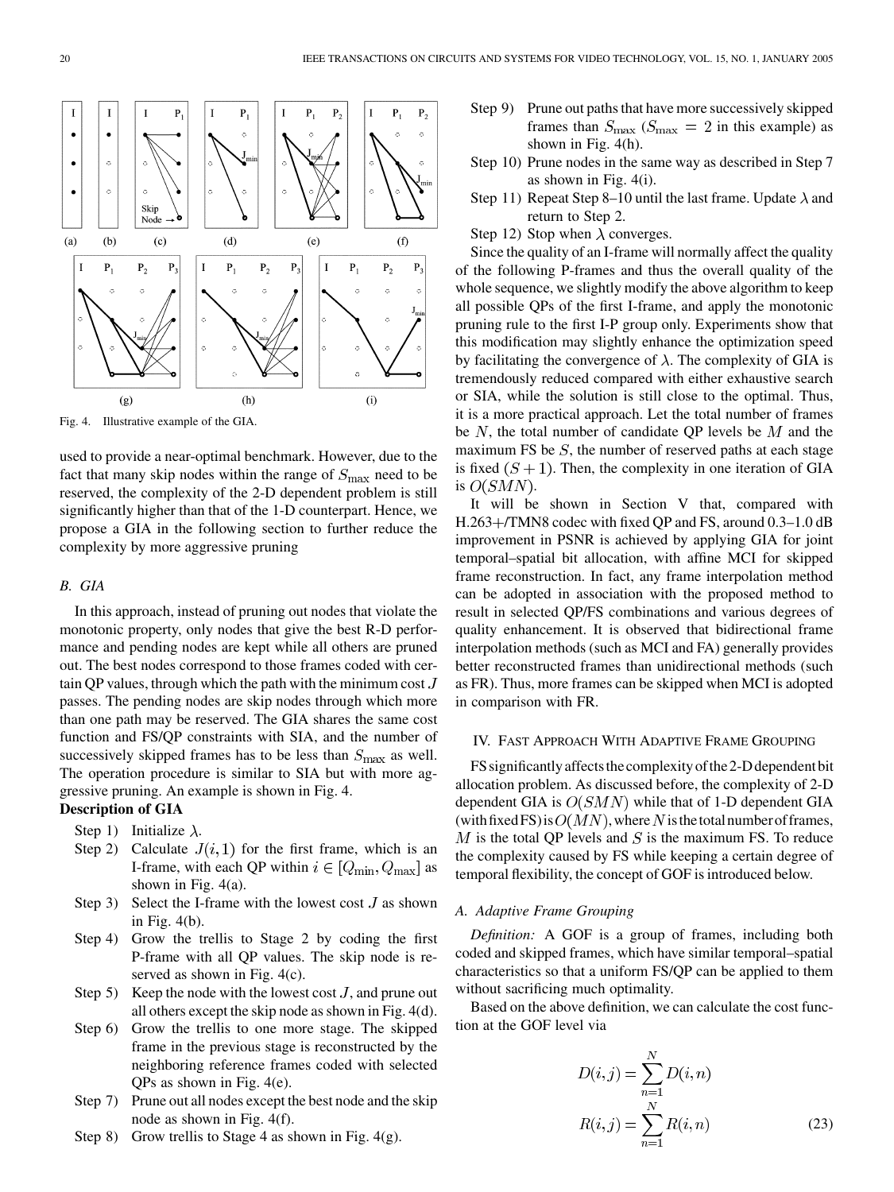

Fig. 4. Illustrative example of the GIA.

used to provide a near-optimal benchmark. However, due to the fact that many skip nodes within the range of  $S_{\text{max}}$  need to be reserved, the complexity of the 2-D dependent problem is still significantly higher than that of the 1-D counterpart. Hence, we propose a GIA in the following section to further reduce the complexity by more aggressive pruning

# *B. GIA*

In this approach, instead of pruning out nodes that violate the monotonic property, only nodes that give the best R-D performance and pending nodes are kept while all others are pruned out. The best nodes correspond to those frames coded with certain QP values, through which the path with the minimum cost  $J$ passes. The pending nodes are skip nodes through which more than one path may be reserved. The GIA shares the same cost function and FS/QP constraints with SIA, and the number of successively skipped frames has to be less than  $S_{\text{max}}$  as well. The operation procedure is similar to SIA but with more aggressive pruning. An example is shown in Fig. 4.

# **Description of GIA**

- Step 1) Initialize  $\lambda$ .
- Step 2) Calculate  $J(i, 1)$  for the first frame, which is an I-frame, with each QP within  $i \in [Q_{\text{min}}, Q_{\text{max}}]$  as shown in Fig. 4(a).
- Step 3) Select the I-frame with the lowest cost  $J$  as shown in Fig. 4(b).
- Step 4) Grow the trellis to Stage 2 by coding the first P-frame with all QP values. The skip node is reserved as shown in Fig. 4(c).
- Step 5) Keep the node with the lowest cost  $J$ , and prune out all others except the skip node as shown in Fig. 4(d).
- Step 6) Grow the trellis to one more stage. The skipped frame in the previous stage is reconstructed by the neighboring reference frames coded with selected QPs as shown in Fig. 4(e).
- Step 7) Prune out all nodes except the best node and the skip node as shown in Fig. 4(f).
- Step 8) Grow trellis to Stage 4 as shown in Fig.  $4(g)$ .
- Step 9) Prune out paths that have more successively skipped frames than  $S_{\text{max}}$  ( $S_{\text{max}}$  = 2 in this example) as shown in Fig. 4(h).
- Step 10) Prune nodes in the same way as described in Step 7 as shown in Fig. 4(i).
- Step 11) Repeat Step 8–10 until the last frame. Update  $\lambda$  and return to Step 2.
- Step 12) Stop when  $\lambda$  converges.

Since the quality of an I-frame will normally affect the quality of the following P-frames and thus the overall quality of the whole sequence, we slightly modify the above algorithm to keep all possible QPs of the first I-frame, and apply the monotonic pruning rule to the first I-P group only. Experiments show that this modification may slightly enhance the optimization speed by facilitating the convergence of  $\lambda$ . The complexity of GIA is tremendously reduced compared with either exhaustive search or SIA, while the solution is still close to the optimal. Thus, it is a more practical approach. Let the total number of frames be  $N$ , the total number of candidate QP levels be  $M$  and the maximum FS be  $S$ , the number of reserved paths at each stage is fixed  $(S + 1)$ . Then, the complexity in one iteration of GIA is  $O(SMN)$ .

It will be shown in Section V that, compared with H.263+/TMN8 codec with fixed QP and FS, around 0.3–1.0 dB improvement in PSNR is achieved by applying GIA for joint temporal–spatial bit allocation, with affine MCI for skipped frame reconstruction. In fact, any frame interpolation method can be adopted in association with the proposed method to result in selected QP/FS combinations and various degrees of quality enhancement. It is observed that bidirectional frame interpolation methods (such as MCI and FA) generally provides better reconstructed frames than unidirectional methods (such as FR). Thus, more frames can be skipped when MCI is adopted in comparison with FR.

#### IV. FAST APPROACH WITH ADAPTIVE FRAME GROUPING

FS significantly affects the complexity of the 2-D dependent bit allocation problem. As discussed before, the complexity of 2-D dependent GIA is  $O(SMN)$  while that of 1-D dependent GIA (with fixed FS) is  $O(MN)$ , where N is the total number of frames,  $M$  is the total QP levels and  $S$  is the maximum FS. To reduce the complexity caused by FS while keeping a certain degree of temporal flexibility, the concept of GOF is introduced below.

#### *A. Adaptive Frame Grouping*

*Definition:* A GOF is a group of frames, including both coded and skipped frames, which have similar temporal–spatial characteristics so that a uniform FS/QP can be applied to them without sacrificing much optimality.

Based on the above definition, we can calculate the cost function at the GOF level via

$$
D(i, j) = \sum_{n=1}^{N} D(i, n)
$$
  

$$
R(i, j) = \sum_{n=1}^{N} R(i, n)
$$
 (23)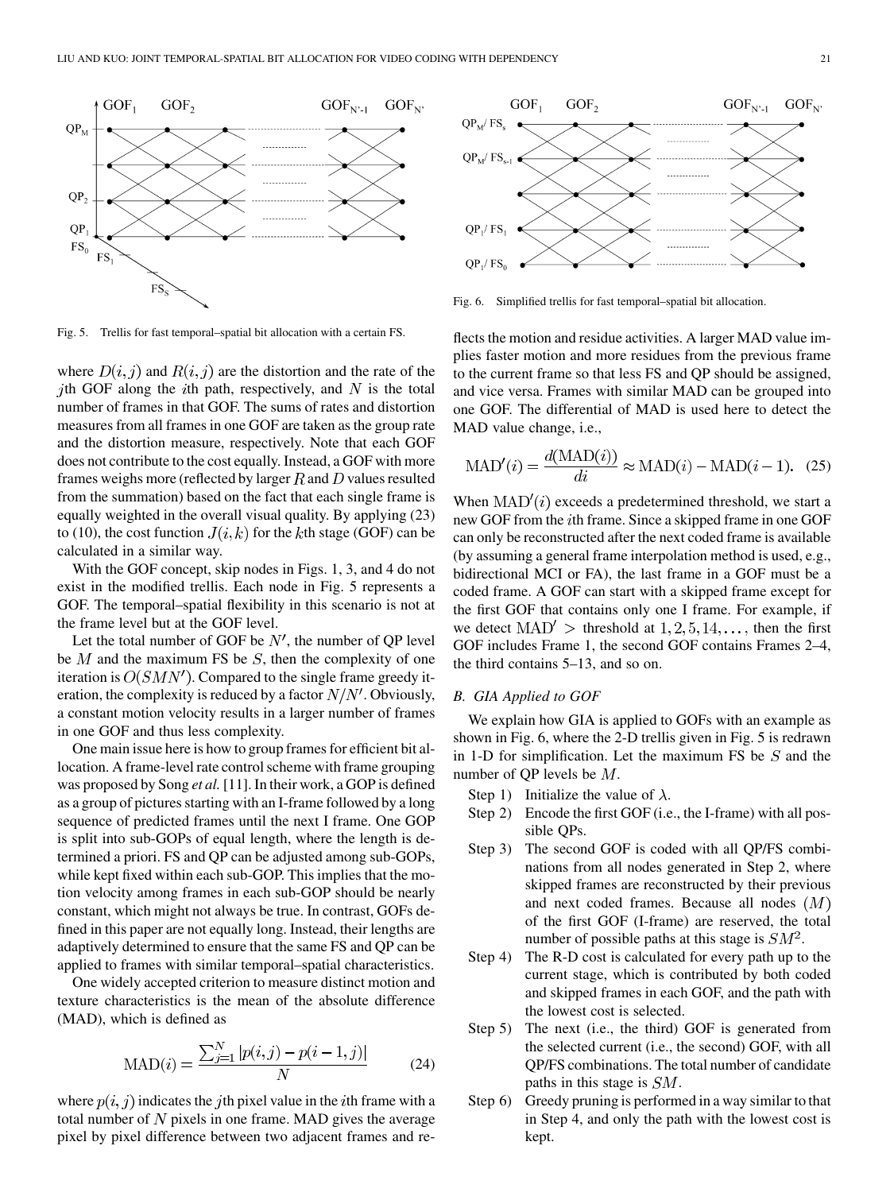

Fig. 5. Trellis for fast temporal–spatial bit allocation with a certain FS.

where  $D(i, j)$  and  $R(i, j)$  are the distortion and the rate of the jth GOF along the *i*th path, respectively, and  $N$  is the total number of frames in that GOF. The sums of rates and distortion measures from all frames in one GOF are taken as the group rate and the distortion measure, respectively. Note that each GOF does not contribute to the cost equally. Instead, a GOF with more frames weighs more (reflected by larger  $R$  and  $D$  values resulted from the summation) based on the fact that each single frame is equally weighted in the overall visual quality. By applying (23) to (10), the cost function  $J(i,k)$  for the kth stage (GOF) can be calculated in a similar way.

With the GOF concept, skip nodes in Figs. 1, 3, and 4 do not exist in the modified trellis. Each node in Fig. 5 represents a GOF. The temporal–spatial flexibility in this scenario is not at the frame level but at the GOF level.

Let the total number of GOF be  $N'$ , the number of QP level be  $M$  and the maximum FS be  $S$ , then the complexity of one iteration is  $O(SMN')$ . Compared to the single frame greedy iteration, the complexity is reduced by a factor  $N/N'$ . Obviously, a constant motion velocity results in a larger number of frames in one GOF and thus less complexity.

One main issue here is how to group frames for efficient bit allocation. A frame-level rate control scheme with frame grouping was proposed by Song *et al.* [[11\]](#page-11-0). In their work, a GOP is defined as a group of pictures starting with an I-frame followed by a long sequence of predicted frames until the next I frame. One GOP is split into sub-GOPs of equal length, where the length is determined a priori. FS and QP can be adjusted among sub-GOPs, while kept fixed within each sub-GOP. This implies that the motion velocity among frames in each sub-GOP should be nearly constant, which might not always be true. In contrast, GOFs defined in this paper are not equally long. Instead, their lengths are adaptively determined to ensure that the same FS and QP can be applied to frames with similar temporal–spatial characteristics.

One widely accepted criterion to measure distinct motion and texture characteristics is the mean of the absolute difference (MAD), which is defined as

$$
MAD(i) = \frac{\sum_{j=1}^{N} |p(i,j) - p(i-1,j)|}{N}
$$
 (24)

where  $p(i, j)$  indicates the jth pixel value in the *i*th frame with a total number of  $N$  pixels in one frame. MAD gives the average pixel by pixel difference between two adjacent frames and re-



Fig. 6. Simplified trellis for fast temporal–spatial bit allocation.

flects the motion and residue activities. A larger MAD value implies faster motion and more residues from the previous frame to the current frame so that less FS and QP should be assigned, and vice versa. Frames with similar MAD can be grouped into one GOF. The differential of MAD is used here to detect the MAD value change, i.e.,

$$
\text{MAD}'(i) = \frac{d(\text{MAD}(i))}{di} \approx \text{MAD}(i) - \text{MAD}(i - 1). \tag{25}
$$

When  $\text{MAD}'(i)$  exceeds a predetermined threshold, we start a new GOF from the *i*th frame. Since a skipped frame in one GOF can only be reconstructed after the next coded frame is available (by assuming a general frame interpolation method is used, e.g., bidirectional MCI or FA), the last frame in a GOF must be a coded frame. A GOF can start with a skipped frame except for the first GOF that contains only one I frame. For example, if we detect  $\text{MAD}'$  > threshold at  $1, 2, 5, 14, \ldots$ , then the first GOF includes Frame 1, the second GOF contains Frames 2–4, the third contains 5–13, and so on.

# *B. GIA Applied to GOF*

We explain how GIA is applied to GOFs with an example as shown in Fig. 6, where the 2-D trellis given in Fig. 5 is redrawn in 1-D for simplification. Let the maximum FS be  $S$  and the number of QP levels be  $M$ .

- Step 1) Initialize the value of  $\lambda$ .
- Step 2) Encode the first GOF (i.e., the I-frame) with all possible QPs.
- Step 3) The second GOF is coded with all QP/FS combinations from all nodes generated in Step 2, where skipped frames are reconstructed by their previous and next coded frames. Because all nodes  $(M)$ of the first GOF (I-frame) are reserved, the total number of possible paths at this stage is  $SM^2$ .
- Step 4) The R-D cost is calculated for every path up to the current stage, which is contributed by both coded and skipped frames in each GOF, and the path with the lowest cost is selected.
- Step 5) The next (i.e., the third) GOF is generated from the selected current (i.e., the second) GOF, with all QP/FS combinations. The total number of candidate paths in this stage is  $SM$ .
- Step 6) Greedy pruning is performed in a way similar to that in Step 4, and only the path with the lowest cost is kept.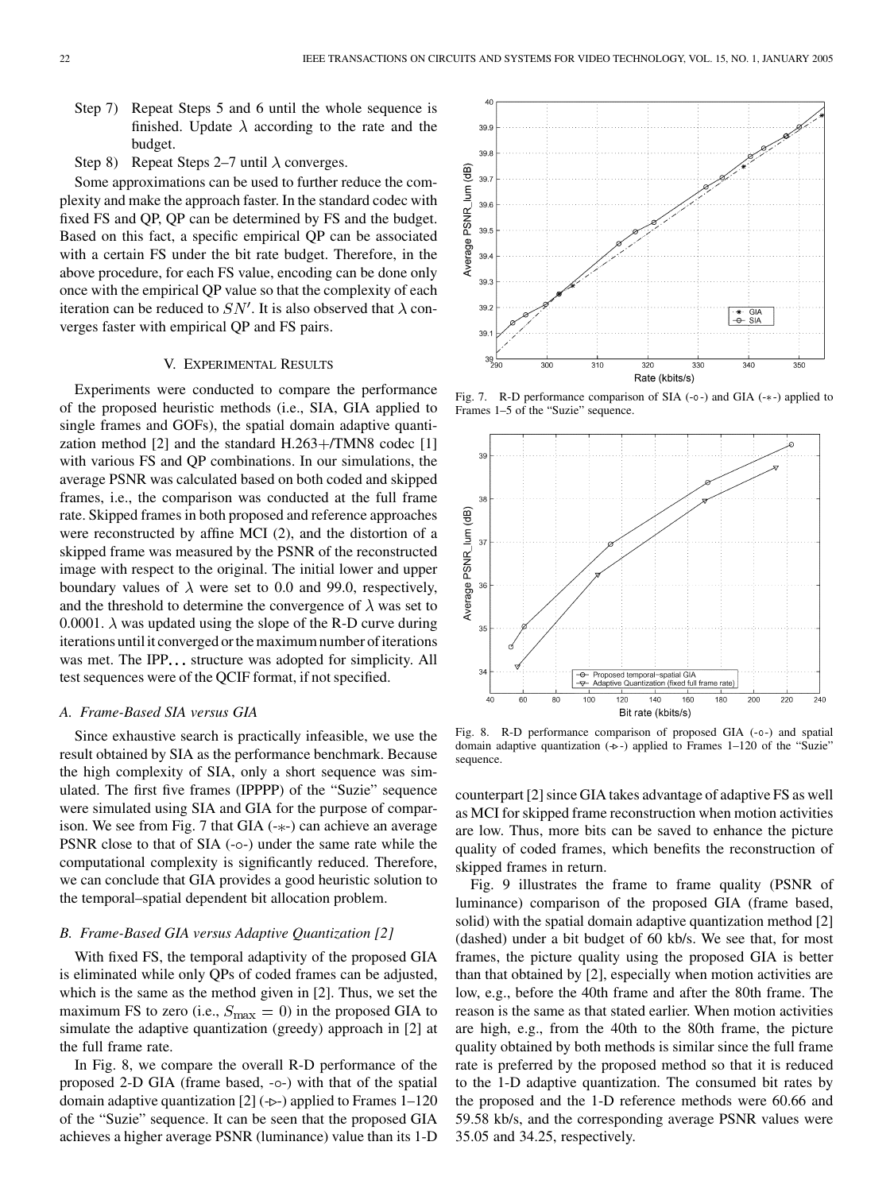- Step 7) Repeat Steps 5 and 6 until the whole sequence is finished. Update  $\lambda$  according to the rate and the budget.
- Step 8) Repeat Steps 2–7 until  $\lambda$  converges.

Some approximations can be used to further reduce the complexity and make the approach faster. In the standard codec with fixed FS and QP, QP can be determined by FS and the budget. Based on this fact, a specific empirical QP can be associated with a certain FS under the bit rate budget. Therefore, in the above procedure, for each FS value, encoding can be done only once with the empirical QP value so that the complexity of each iteration can be reduced to  $SN'$ . It is also observed that  $\lambda$  converges faster with empirical QP and FS pairs.

# V. EXPERIMENTAL RESULTS

Experiments were conducted to compare the performance of the proposed heuristic methods (i.e., SIA, GIA applied to single frames and GOFs), the spatial domain adaptive quantization method  $[2]$  $[2]$  and the standard H.263+/TMN8 codec  $[1]$  $[1]$ with various FS and QP combinations. In our simulations, the average PSNR was calculated based on both coded and skipped frames, i.e., the comparison was conducted at the full frame rate. Skipped frames in both proposed and reference approaches were reconstructed by affine MCI (2), and the distortion of a skipped frame was measured by the PSNR of the reconstructed image with respect to the original. The initial lower and upper boundary values of  $\lambda$  were set to 0.0 and 99.0, respectively, and the threshold to determine the convergence of  $\lambda$  was set to 0.0001.  $\lambda$  was updated using the slope of the R-D curve during iterations until it converged or the maximum number of iterations was met. The IPP... structure was adopted for simplicity. All test sequences were of the QCIF format, if not specified.

# *A. Frame-Based SIA versus GIA*

Since exhaustive search is practically infeasible, we use the result obtained by SIA as the performance benchmark. Because the high complexity of SIA, only a short sequence was simulated. The first five frames (IPPPP) of the "Suzie" sequence were simulated using SIA and GIA for the purpose of comparison. We see from Fig. 7 that GIA  $(-*)$  can achieve an average PSNR close to that of SIA (-o-) under the same rate while the computational complexity is significantly reduced. Therefore, we can conclude that GIA provides a good heuristic solution to the temporal–spatial dependent bit allocation problem.

# *B. Frame-Based GIA versus Adaptive Quantization [[2\]](#page-11-0)*

With fixed FS, the temporal adaptivity of the proposed GIA is eliminated while only QPs of coded frames can be adjusted, which is the same as the method given in [\[2](#page-11-0)]. Thus, we set the maximum FS to zero (i.e.,  $S_{\text{max}} = 0$ ) in the proposed GIA to simulate the adaptive quantization (greedy) approach in [[2\]](#page-11-0) at the full frame rate.

In Fig. 8, we compare the overall R-D performance of the proposed 2-D GIA (frame based, -o-) with that of the spatial domain adaptive quantization  $[2]$  $[2]$  (- $\triangleright$ -) applied to Frames 1–120 of the "Suzie" sequence. It can be seen that the proposed GIA achieves a higher average PSNR (luminance) value than its 1-D



Fig. 7. R-D performance comparison of SIA (- $\circ$ -) and GIA (- $\ast$ -) applied to Frames 1–5 of the "Suzie" sequence.



Fig. 8. R-D performance comparison of proposed GIA (-0-) and spatial domain adaptive quantization  $(-\triangleright -)$  applied to Frames 1-120 of the "Suzie" sequence.

counterpart [\[2](#page-11-0)] since GIA takes advantage of adaptive FS as well as MCI for skipped frame reconstruction when motion activities are low. Thus, more bits can be saved to enhance the picture quality of coded frames, which benefits the reconstruction of skipped frames in return.

Fig. 9 illustrates the frame to frame quality (PSNR of luminance) comparison of the proposed GIA (frame based, solid) with the spatial domain adaptive quantization method [\[2](#page-11-0)] (dashed) under a bit budget of 60 kb/s. We see that, for most frames, the picture quality using the proposed GIA is better than that obtained by [[2\]](#page-11-0), especially when motion activities are low, e.g., before the 40th frame and after the 80th frame. The reason is the same as that stated earlier. When motion activities are high, e.g., from the 40th to the 80th frame, the picture quality obtained by both methods is similar since the full frame rate is preferred by the proposed method so that it is reduced to the 1-D adaptive quantization. The consumed bit rates by the proposed and the 1-D reference methods were 60.66 and 59.58 kb/s, and the corresponding average PSNR values were 35.05 and 34.25, respectively.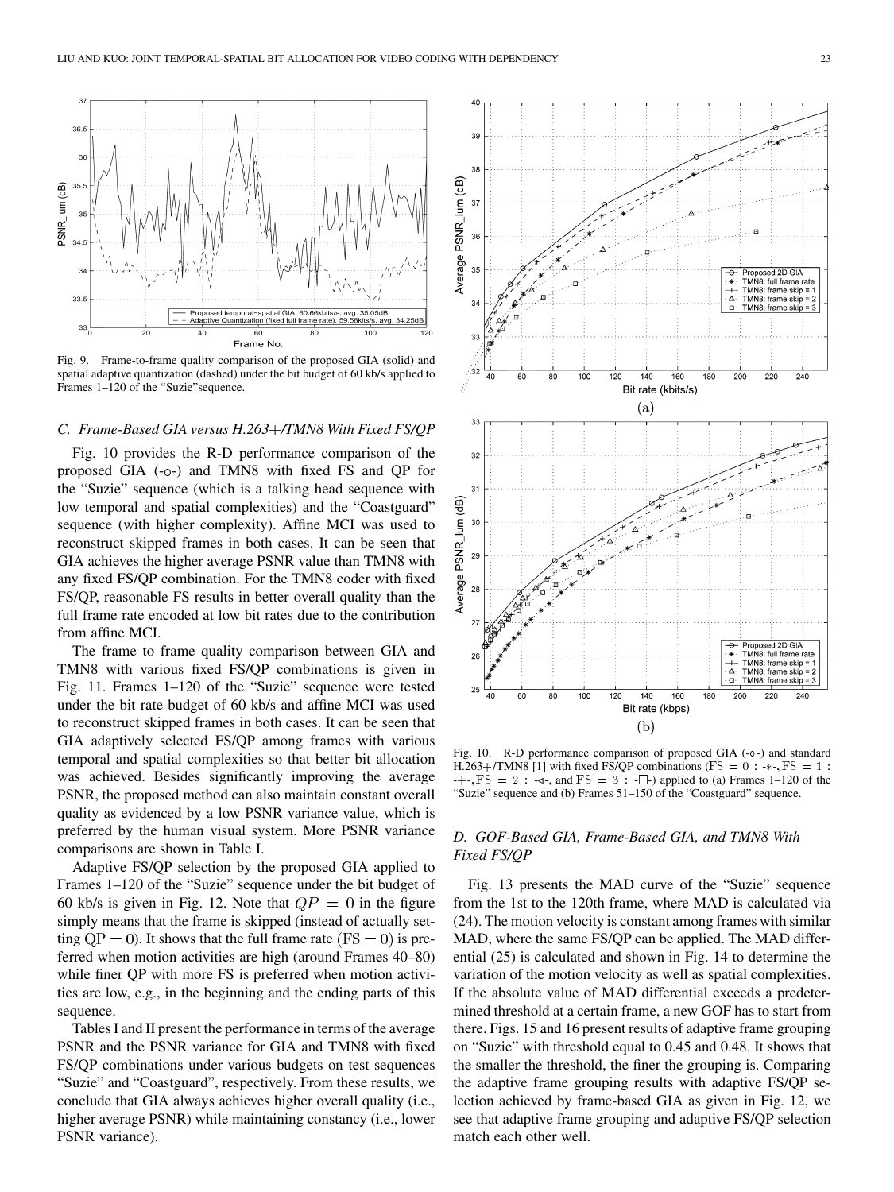

Fig. 9. Frame-to-frame quality comparison of the proposed GIA (solid) and spatial adaptive quantization (dashed) under the bit budget of 60 kb/s applied to Frames 1–120 of the "Suzie"sequence.

# *C. Frame-Based GIA versus H.263 /TMN8 With Fixed FS/QP*

Fig. 10 provides the R-D performance comparison of the proposed GIA (-o-) and TMN8 with fixed FS and QP for the "Suzie" sequence (which is a talking head sequence with low temporal and spatial complexities) and the "Coastguard" sequence (with higher complexity). Affine MCI was used to reconstruct skipped frames in both cases. It can be seen that GIA achieves the higher average PSNR value than TMN8 with any fixed FS/QP combination. For the TMN8 coder with fixed FS/QP, reasonable FS results in better overall quality than the full frame rate encoded at low bit rates due to the contribution from affine MCI.

The frame to frame quality comparison between GIA and TMN8 with various fixed FS/QP combinations is given in Fig. 11. Frames 1–120 of the "Suzie" sequence were tested under the bit rate budget of 60 kb/s and affine MCI was used to reconstruct skipped frames in both cases. It can be seen that GIA adaptively selected FS/QP among frames with various temporal and spatial complexities so that better bit allocation was achieved. Besides significantly improving the average PSNR, the proposed method can also maintain constant overall quality as evidenced by a low PSNR variance value, which is preferred by the human visual system. More PSNR variance comparisons are shown in Table I.

Adaptive FS/QP selection by the proposed GIA applied to Frames 1–120 of the "Suzie" sequence under the bit budget of 60 kb/s is given in Fig. 12. Note that  $QP = 0$  in the figure simply means that the frame is skipped (instead of actually setting  $QP = 0$ ). It shows that the full frame rate  $(FS = 0)$  is preferred when motion activities are high (around Frames 40–80) while finer QP with more FS is preferred when motion activities are low, e.g., in the beginning and the ending parts of this sequence.

Tables I and II present the performance in terms of the average PSNR and the PSNR variance for GIA and TMN8 with fixed FS/QP combinations under various budgets on test sequences "Suzie" and "Coastguard", respectively. From these results, we conclude that GIA always achieves higher overall quality (i.e., higher average PSNR) while maintaining constancy (i.e., lower PSNR variance).



Fig. 10. R-D performance comparison of proposed GIA (-0-) and standard H.263+/TMN8 [\[1](#page-11-0)] with fixed FS/QP combinations (FS =  $0:$  - $*$ -, FS = 1:  $-+-$ ; FS = 2 : -4-, and FS = 3 : - $\Box$ -) applied to (a) Frames 1–120 of the "Suzie" sequence and (b) Frames 51–150 of the "Coastguard" sequence.

# *D. GOF-Based GIA, Frame-Based GIA, and TMN8 With Fixed FS/QP*

Fig. 13 presents the MAD curve of the "Suzie" sequence from the 1st to the 120th frame, where MAD is calculated via (24). The motion velocity is constant among frames with similar MAD, where the same FS/QP can be applied. The MAD differential (25) is calculated and shown in Fig. 14 to determine the variation of the motion velocity as well as spatial complexities. If the absolute value of MAD differential exceeds a predetermined threshold at a certain frame, a new GOF has to start from there. Figs. 15 and 16 present results of adaptive frame grouping on "Suzie" with threshold equal to 0.45 and 0.48. It shows that the smaller the threshold, the finer the grouping is. Comparing the adaptive frame grouping results with adaptive FS/QP selection achieved by frame-based GIA as given in Fig. 12, we see that adaptive frame grouping and adaptive FS/QP selection match each other well.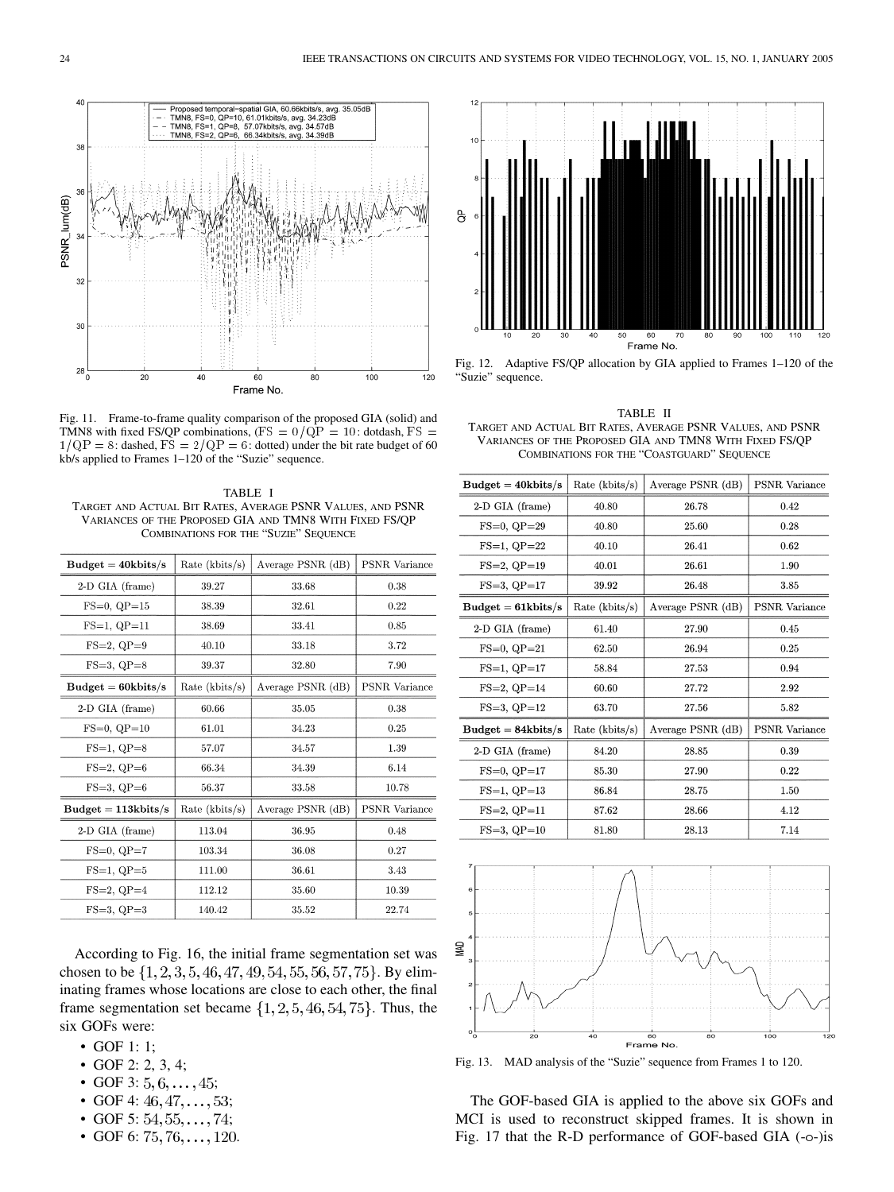

Fig. 11. Frame-to-frame quality comparison of the proposed GIA (solid) and TMN8 with fixed FS/QP combinations, (FS =  $0/\text{QP} = 10$ : dotdash, FS =  $1/\text{QP} = 8$ : dashed,  $\overline{\text{FS}} = 2/\text{QP} = 6$ : dotted) under the bit rate budget of 60 kb/s applied to Frames 1–120 of the "Suzie" sequence.

TABLE I TARGET AND ACTUAL BIT RATES, AVERAGE PSNR VALUES, AND PSNR VARIANCES OF THE PROPOSED GIA AND TMN8 WITH FIXED FS/QP COMBINATIONS FOR THE "SUZIE" SEQUENCE

| $Budget = 40kbits/s$  | Rate $(kbits/s)$ | Average PSNR (dB) | <b>PSNR</b> Variance |  |
|-----------------------|------------------|-------------------|----------------------|--|
| 2-D GIA (frame)       | 39.27            | 33.68             | 0.38                 |  |
| $FS=0, QP=15$         | 38.39            | 32.61             | 0.22                 |  |
| $FS=1, QP=11$         | 38.69            | 33.41             | 0.85                 |  |
| $FS=2$ , $QP=9$       | 40.10            | 33.18             | 3.72                 |  |
| $FS=3$ , $QP=8$       | 39.37            | 32.80             | 7.90                 |  |
| $Budget = 60kbits/s$  | Rate (kbits/s)   | Average PSNR (dB) | <b>PSNR</b> Variance |  |
| 2-D GIA (frame)       | 60.66            | 35.05             | 0.38                 |  |
| $FS=0, QP=10$         | 61.01            | 34.23             | 0.25                 |  |
| $FS=1$ , QP=8         | 57.07            | 34.57             | 1.39                 |  |
| $FS=2, QP=6$          | 66.34            | 34.39             | 6.14                 |  |
| $FS=3$ , $QP=6$       | 56.37            | 33.58             | 10.78                |  |
| $Budget = 113kbits/s$ | Rate (kbits/s)   | Average PSNR (dB) | <b>PSNR</b> Variance |  |
| 2-D GIA (frame)       | 113.04           | 36.95             | 0.48                 |  |
| $FS=0$ , $QP=7$       | 103.34           | 36.08             | 0.27                 |  |
| $FS=1$ , QP=5         | 111.00           | 36.61             | 3.43                 |  |
| $FS=2$ , $QP=4$       | 112.12           | 35.60<br>10.39    |                      |  |
| $FS=3$ , $QP=3$       | 140.42           | 35.52<br>22.74    |                      |  |

According to Fig. 16, the initial frame segmentation set was chosen to be  $\{1, 2, 3, 5, 46, 47, 49, 54, 55, 56, 57, 75\}$ . By eliminating frames whose locations are close to each other, the final frame segmentation set became  $\{1, 2, 5, 46, 54, 75\}$ . Thus, the six GOFs were:

- GOF 1:1;
- GOF 2: 2, 3, 4;
- GOF 3:  $5, 6, \ldots, 45$ ;
- GOF 4:  $46, 47, \ldots, 53;$
- GOF 5: 54, 55,  $\dots$ , 74;
- GOF 6: 75, 76,  $\dots$ , 120.



Fig. 12. Adaptive FS/QP allocation by GIA applied to Frames 1–120 of the "Suzie" sequence.

TABLE II TARGET AND ACTUAL BIT RATES, AVERAGE PSNR VALUES, AND PSNR VARIANCES OF THE PROPOSED GIA AND TMN8 WITH FIXED FS/QP COMBINATIONS FOR THE "COASTGUARD" SEQUENCE

| $Budget = 40kbits/s$ | Rate (kbits/s)   | Average PSNR (dB) | <b>PSNR</b> Variance |  |
|----------------------|------------------|-------------------|----------------------|--|
| 2-D GIA (frame)      | 40.80            | 26.78             | 0.42                 |  |
| $FS=0, QP=29$        | 40.80            | 25.60             | 0.28                 |  |
| $FS=1$ , $QP=22$     | 40.10            | 26.41             | 0.62                 |  |
| $FS=2, QP=19$        | 40.01            | 26.61             | 1.90                 |  |
| $FS=3, QP=17$        | 39.92            | 26.48             | 3.85                 |  |
| $Budget = 61kbits/s$ | Rate $(kbits/s)$ | Average PSNR (dB) | <b>PSNR</b> Variance |  |
| 2-D GIA (frame)      | 61.40            | 27.90             | 0.45                 |  |
| $FS=0, QP=21$        | 62.50            | 26.94             | 0.25                 |  |
| $FS=1$ , QP=17       | 58.84            | 27.53             | 0.94                 |  |
| $FS=2, QP=14$        | 60.60            | 27.72             | 2.92                 |  |
| $FS=3, QP=12$        | 63.70            | 27.56             | 5.82                 |  |
| $Budget = 84kbits/s$ | Rate (kbits/s)   | Average PSNR (dB) | <b>PSNR</b> Variance |  |
| 2-D GIA (frame)      | 84.20            | 28.85             | 0.39                 |  |
| $FS=0, QP=17$        | 85.30            | 27.90             | 0.22                 |  |
| $FS=1, QP=13$        | 86.84            | 28.75<br>1.50     |                      |  |
| $FS=2, QP=11$        | 87.62            | 28.66<br>4.12     |                      |  |
| $FS=3, QP=10$        | 81.80            | 28.13<br>7.14     |                      |  |
|                      |                  |                   |                      |  |



Fig. 13. MAD analysis of the "Suzie" sequence from Frames 1 to 120.

The GOF-based GIA is applied to the above six GOFs and MCI is used to reconstruct skipped frames. It is shown in Fig. 17 that the R-D performance of GOF-based GIA  $(-\circ-)$ is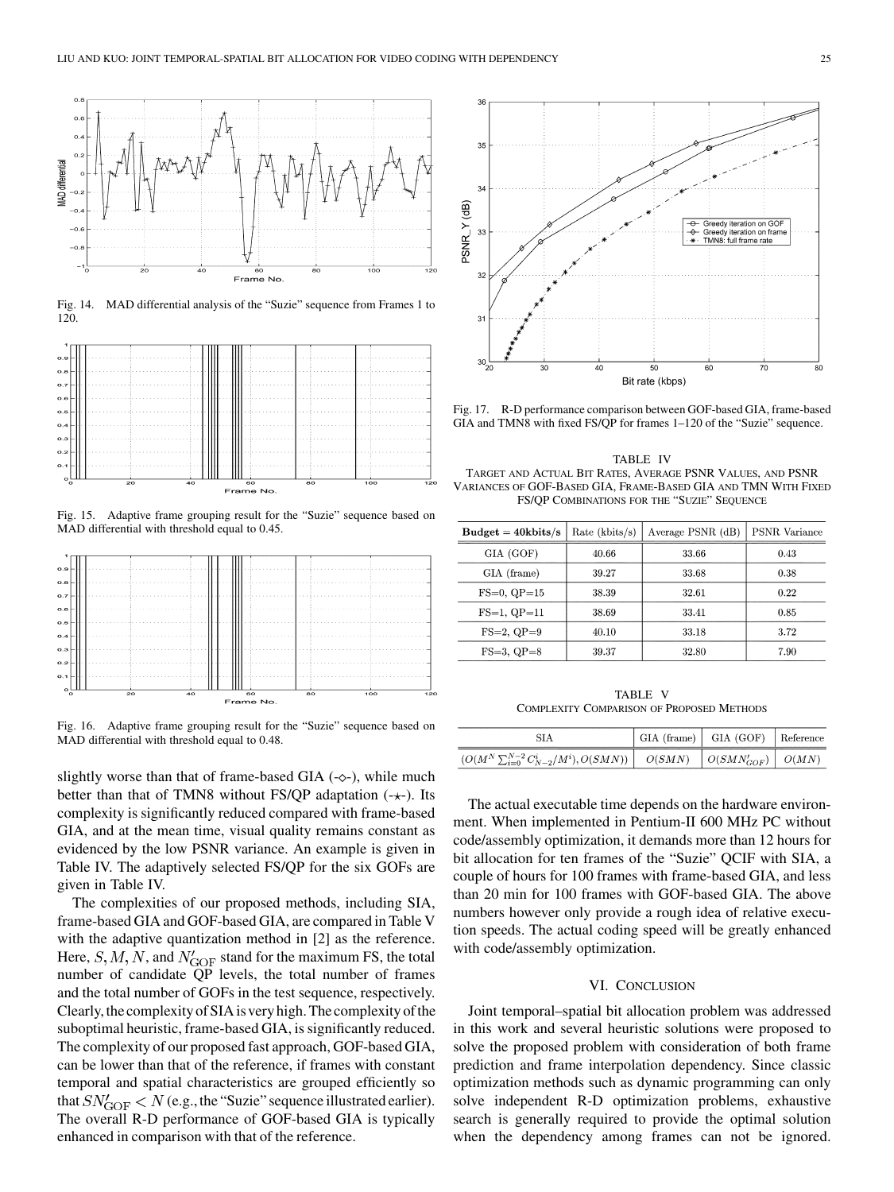

Fig. 14. MAD differential analysis of the "Suzie" sequence from Frames 1 to 120.



Fig. 15. Adaptive frame grouping result for the "Suzie" sequence based on MAD differential with threshold equal to 0.45.



Fig. 16. Adaptive frame grouping result for the "Suzie" sequence based on MAD differential with threshold equal to 0.48.

slightly worse than that of frame-based GIA  $(-\diamond-)$ , while much better than that of TMN8 without FS/QP adaptation  $(++)$ . Its complexity is significantly reduced compared with frame-based GIA, and at the mean time, visual quality remains constant as evidenced by the low PSNR variance. An example is given in Table IV. The adaptively selected FS/QP for the six GOFs are given in Table IV.

The complexities of our proposed methods, including SIA, frame-based GIA and GOF-based GIA, are compared in Table V with the adaptive quantization method in [\[2](#page-11-0)] as the reference. Here,  $S, M, N$ , and  $N'_{\text{GOF}}$  stand for the maximum FS, the total number of candidate QP levels, the total number of frames and the total number of GOFs in the test sequence, respectively. Clearly, the complexity of SIA is very high. The complexity of the suboptimal heuristic, frame-based GIA, is significantly reduced. The complexity of our proposed fast approach, GOF-based GIA, can be lower than that of the reference, if frames with constant temporal and spatial characteristics are grouped efficiently so that  $SN_{\text{GOF}}^{\prime}$  < N (e.g., the "Suzie" sequence illustrated earlier). The overall R-D performance of GOF-based GIA is typically enhanced in comparison with that of the reference.



Fig. 17. R-D performance comparison between GOF-based GIA, frame-based GIA and TMN8 with fixed FS/QP for frames 1–120 of the "Suzie" sequence.

TABLE IV TARGET AND ACTUAL BIT RATES, AVERAGE PSNR VALUES, AND PSNR VARIANCES OF GOF-BASED GIA, FRAME-BASED GIA AND TMN WITH FIXED FS/QP COMBINATIONS FOR THE "SUZIE" SEQUENCE

| $Budget = 40kbits/s$ | Rate $(kbits/s)$ | Average PSNR (dB) | <b>PSNR</b> Variance |  |
|----------------------|------------------|-------------------|----------------------|--|
| GIA (GOF)            | 40.66            | 33.66             | 0.43                 |  |
| GIA (frame)          | 39.27            | 33.68             | 0.38                 |  |
| $FS=0, QP=15$        | 38.39            | 32.61             | 0.22                 |  |
| $FS=1$ , $QP=11$     | 38.69            | 33.41             | 0.85                 |  |
| $FS=2$ , $QP=9$      | 40.10            | 33.18             | 3.72                 |  |
| $FS=3$ , $QP=8$      | 39.37            | 32.80             | 7.90                 |  |

TABLE V COMPLEXITY COMPARISON OF PROPOSED METHODS

|                                                                                                                                                                                          | $\vert$ GIA (frame) $\vert$ GIA (GOF) $\vert$ Reference |  |
|------------------------------------------------------------------------------------------------------------------------------------------------------------------------------------------|---------------------------------------------------------|--|
| $\left\langle O(M^N\sum_{i=0}^{N-2}C_{N-2}^i/M^i),O(SMN)\right\rangle$ $\left\langle O(SMN) \right\rangle$ $\left\langle O(SMN'_{GOF}) \right\rangle$ $\left\langle O(MN) \right\rangle$ |                                                         |  |

The actual executable time depends on the hardware environment. When implemented in Pentium-II 600 MHz PC without code/assembly optimization, it demands more than 12 hours for bit allocation for ten frames of the "Suzie" QCIF with SIA, a couple of hours for 100 frames with frame-based GIA, and less than 20 min for 100 frames with GOF-based GIA. The above numbers however only provide a rough idea of relative execution speeds. The actual coding speed will be greatly enhanced with code/assembly optimization.

#### VI. CONCLUSION

Joint temporal–spatial bit allocation problem was addressed in this work and several heuristic solutions were proposed to solve the proposed problem with consideration of both frame prediction and frame interpolation dependency. Since classic optimization methods such as dynamic programming can only solve independent R-D optimization problems, exhaustive search is generally required to provide the optimal solution when the dependency among frames can not be ignored.